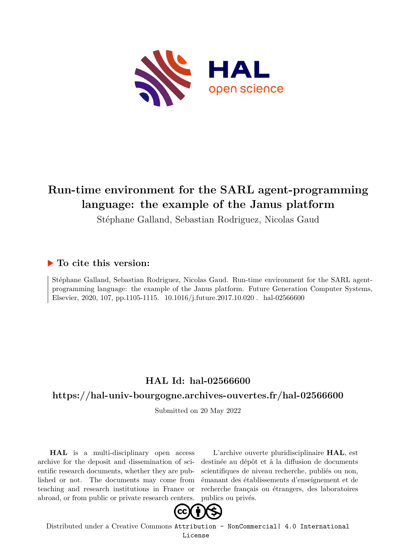

# **Run-time environment for the SARL agent-programming language: the example of the Janus platform**

## Stéphane Galland, Sebastian Rodriguez, Nicolas Gaud

## **To cite this version:**

Stéphane Galland, Sebastian Rodriguez, Nicolas Gaud. Run-time environment for the SARL agentprogramming language: the example of the Janus platform. Future Generation Computer Systems, Elsevier, 2020, 107, pp.1105-1115. 10.1016/j.future.2017.10.020 . hal-02566600

## **HAL Id: hal-02566600**

## **<https://hal-univ-bourgogne.archives-ouvertes.fr/hal-02566600>**

Submitted on 20 May 2022

**HAL** is a multi-disciplinary open access archive for the deposit and dissemination of scientific research documents, whether they are published or not. The documents may come from teaching and research institutions in France or abroad, or from public or private research centers.

L'archive ouverte pluridisciplinaire **HAL**, est destinée au dépôt et à la diffusion de documents scientifiques de niveau recherche, publiés ou non, émanant des établissements d'enseignement et de recherche français ou étrangers, des laboratoires publics ou privés.



Distributed under a Creative Commons [Attribution - NonCommercial| 4.0 International](http://creativecommons.org/licenses/by-nc/4.0/) [License](http://creativecommons.org/licenses/by-nc/4.0/)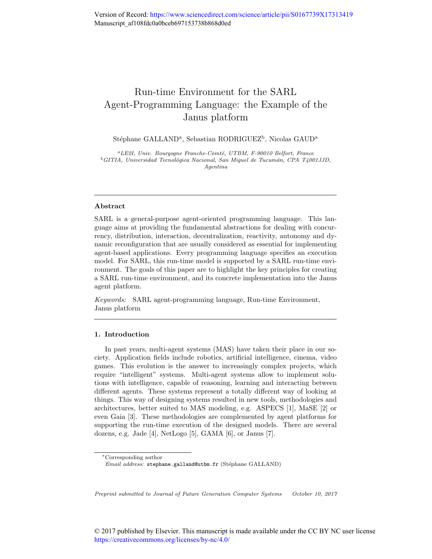## Run-time Environment for the SARL Agent-Programming Language: the Example of the Janus platform

Stéphane GALLAND<sup>a</sup>, Sebastian RODRIGUEZ<sup>b</sup>, Nicolas GAUD<sup>a</sup>

 ${}^{a}$ LE2I, Univ. Bourgogne Franche-Comté, UTBM, F-90010 Belfort, France  $^{b}$ GITIA, Universidad Tecnológica Nacional, San Miguel de Tucumán, CPA T4001JJD, Agentina

#### Abstract

SARL is a general-purpose agent-oriented programming language. This language aims at providing the fundamental abstractions for dealing with concurrency, distribution, interaction, decentralization, reactivity, autonomy and dynamic reconfiguration that are usually considered as essential for implementing agent-based applications. Every programming language specifies an execution model. For SARL, this run-time model is supported by a SARL run-time environment. The goals of this paper are to highlight the key principles for creating a SARL run-time environment, and its concrete implementation into the Janus agent platform.

Keywords: SARL agent-programming language, Run-time Environment, Janus platform

## 1. Introduction

In past years, multi-agent systems (MAS) have taken their place in our society. Application fields include robotics, artificial intelligence, cinema, video games. This evolution is the answer to increasingly complex projects, which require "intelligent" systems. Multi-agent systems allow to implement solutions with intelligence, capable of reasoning, learning and interacting between different agents. These systems represent a totally different way of looking at things. This way of designing systems resulted in new tools, methodologies and architectures, better suited to MAS modeling, e.g. ASPECS [1], MaSE [2] or even Gaia [3]. These methodologies are complemented by agent platforms for supporting the run-time execution of the designed models. There are several dozens, e.g. Jade [4], NetLogo [5], GAMA [6], or Janus [7].

Preprint submitted to Journal of Future Generation Computer Systems October 10, 2017

© 2017 published by Elsevier. This manuscript is made available under the CC BY NC user license <https://creativecommons.org/licenses/by-nc/4.0/>

<sup>∗</sup>Corresponding author

Email address: stephane.galland@utbm.fr (Stéphane GALLAND)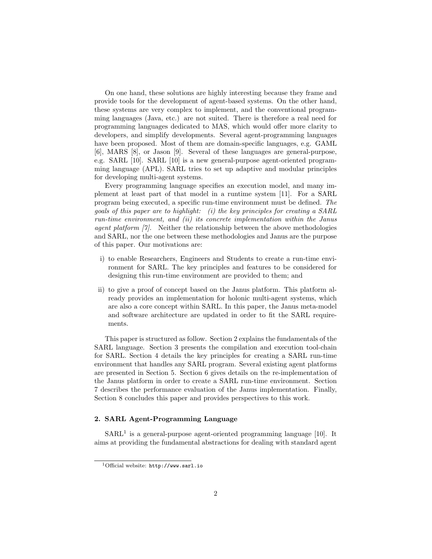On one hand, these solutions are highly interesting because they frame and provide tools for the development of agent-based systems. On the other hand, these systems are very complex to implement, and the conventional programming languages (Java, etc.) are not suited. There is therefore a real need for programming languages dedicated to MAS, which would offer more clarity to developers, and simplify developments. Several agent-programming languages have been proposed. Most of them are domain-specific languages, e.g. GAML [6], MARS [8], or Jason [9]. Several of these languages are general-purpose, e.g. SARL [10]. SARL [10] is a new general-purpose agent-oriented programming language (APL). SARL tries to set up adaptive and modular principles for developing multi-agent systems.

Every programming language specifies an execution model, and many implement at least part of that model in a runtime system [11]. For a SARL program being executed, a specific run-time environment must be defined. The goals of this paper are to highlight: (i) the key principles for creating a SARL run-time environment, and (ii) its concrete implementation within the Janus *agent platform*  $\left[\gamma\right]$ . Neither the relationship between the above methodologies and SARL, nor the one between these methodologies and Janus are the purpose of this paper. Our motivations are:

- i) to enable Researchers, Engineers and Students to create a run-time environment for SARL. The key principles and features to be considered for designing this run-time environment are provided to them; and
- ii) to give a proof of concept based on the Janus platform. This platform already provides an implementation for holonic multi-agent systems, which are also a core concept within SARL. In this paper, the Janus meta-model and software architecture are updated in order to fit the SARL requirements.

This paper is structured as follow. Section 2 explains the fundamentals of the SARL language. Section 3 presents the compilation and execution tool-chain for SARL. Section 4 details the key principles for creating a SARL run-time environment that handles any SARL program. Several existing agent platforms are presented in Section 5. Section 6 gives details on the re-implementation of the Janus platform in order to create a SARL run-time environment. Section 7 describes the performance evaluation of the Janus implementation. Finally, Section 8 concludes this paper and provides perspectives to this work.

## 2. SARL Agent-Programming Language

 $SARL<sup>1</sup>$  is a general-purpose agent-oriented programming language [10]. It aims at providing the fundamental abstractions for dealing with standard agent

<sup>1</sup>Official website: http://www.sarl.io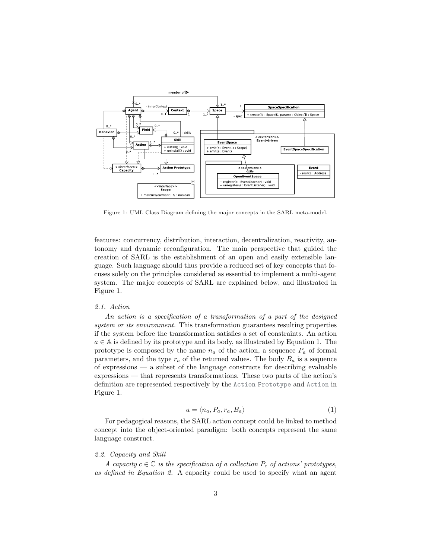

Figure 1: UML Class Diagram defining the major concepts in the SARL meta-model.

features: concurrency, distribution, interaction, decentralization, reactivity, autonomy and dynamic reconfiguration. The main perspective that guided the creation of SARL is the establishment of an open and easily extensible language. Such language should thus provide a reduced set of key concepts that focuses solely on the principles considered as essential to implement a multi-agent system. The major concepts of SARL are explained below, and illustrated in Figure 1.

## 2.1. Action

An action is a specification of a transformation of a part of the designed system or its environment. This transformation guarantees resulting properties if the system before the transformation satisfies a set of constraints. An action  $a \in A$  is defined by its prototype and its body, as illustrated by Equation 1. The prototype is composed by the name  $n_a$  of the action, a sequence  $P_a$  of formal parameters, and the type  $r_a$  of the returned values. The body  $B_a$  is a sequence of expressions — a subset of the language constructs for describing evaluable expressions — that represents transformations. These two parts of the action's definition are represented respectively by the Action Prototype and Action in Figure 1.

$$
a = \langle n_a, P_a, r_a, B_a \rangle \tag{1}
$$

For pedagogical reasons, the SARL action concept could be linked to method concept into the object-oriented paradigm: both concepts represent the same language construct.

## 2.2. Capacity and Skill

A capacity  $c \in \mathbb{C}$  is the specification of a collection  $P_c$  of actions' prototypes, as defined in Equation 2. A capacity could be used to specify what an agent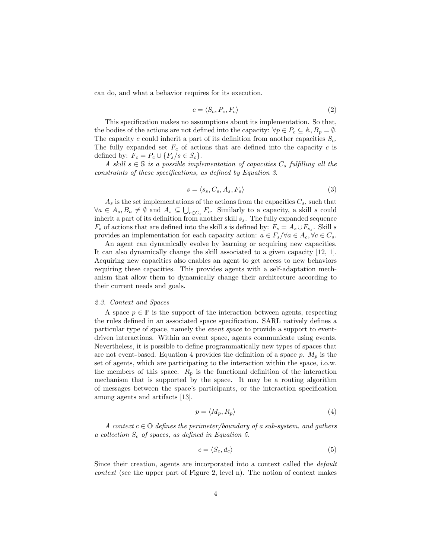can do, and what a behavior requires for its execution.

$$
c = \langle S_c, P_c, F_c \rangle \tag{2}
$$

This specification makes no assumptions about its implementation. So that, the bodies of the actions are not defined into the capacity:  $\forall p \in P_c \subseteq \mathbb{A}, B_p = \emptyset$ . The capacity c could inherit a part of its definition from another capacities  $S_c$ . The fully expanded set  $F_c$  of actions that are defined into the capacity c is defined by:  $F_c = P_c \cup \{F_s/s \in S_c\}.$ 

A skill  $s \in \mathbb{S}$  is a possible implementation of capacities  $C_s$  fulfilling all the constraints of these specifications, as defined by Equation 3.

$$
s = \langle s_s, C_s, A_s, F_s \rangle \tag{3}
$$

 $A_s$  is the set implementations of the actions from the capacities  $C_s$ , such that  $\forall a \in A_s, B_a \neq \emptyset$  and  $A_s \subseteq \bigcup_{c \in C_s} F_c$ . Similarly to a capacity, a skill s could inherit a part of its definition from another skill  $s_s$ . The fully expanded sequence  $F_s$  of actions that are defined into the skill s is defined by:  $F_s = A_s \cup F_{s_s}$ . Skill s provides an implementation for each capacity action:  $a \in F_s/\forall a \in A_c, \forall c \in C_s$ .

An agent can dynamically evolve by learning or acquiring new capacities. It can also dynamically change the skill associated to a given capacity [12, 1]. Acquiring new capacities also enables an agent to get access to new behaviors requiring these capacities. This provides agents with a self-adaptation mechanism that allow them to dynamically change their architecture according to their current needs and goals.

## 2.3. Context and Spaces

A space  $p \in \mathbb{P}$  is the support of the interaction between agents, respecting the rules defined in an associated space specification. SARL natively defines a particular type of space, namely the event space to provide a support to eventdriven interactions. Within an event space, agents communicate using events. Nevertheless, it is possible to define programmatically new types of spaces that are not event-based. Equation 4 provides the definition of a space  $p$ .  $M_p$  is the set of agents, which are participating to the interaction within the space, i.o.w. the members of this space.  $R_p$  is the functional definition of the interaction mechanism that is supported by the space. It may be a routing algorithm of messages between the space's participants, or the interaction specification among agents and artifacts [13].

$$
p = \langle M_p, R_p \rangle \tag{4}
$$

A context  $c \in \mathbb{O}$  defines the perimeter/boundary of a sub-system, and gathers a collection  $S_c$  of spaces, as defined in Equation 5.

$$
c = \langle S_c, d_c \rangle \tag{5}
$$

Since their creation, agents are incorporated into a context called the default context (see the upper part of Figure 2, level n). The notion of context makes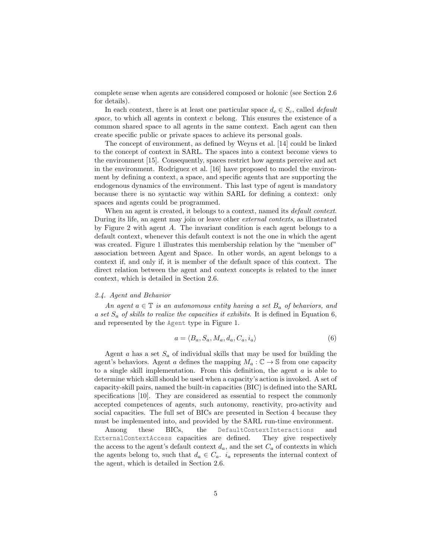complete sense when agents are considered composed or holonic (see Section 2.6 for details).

In each context, there is at least one particular space  $d_c \in S_c$ , called *default* space, to which all agents in context  $c$  belong. This ensures the existence of a common shared space to all agents in the same context. Each agent can then create specific public or private spaces to achieve its personal goals.

The concept of environment, as defined by Weyns et al. [14] could be linked to the concept of context in SARL. The spaces into a context become views to the environment [15]. Consequently, spaces restrict how agents perceive and act in the environment. Rodriguez et al. [16] have proposed to model the environment by defining a context, a space, and specific agents that are supporting the endogenous dynamics of the environment. This last type of agent is mandatory because there is no syntactic way within SARL for defining a context: only spaces and agents could be programmed.

When an agent is created, it belongs to a context, named its *default context*. During its life, an agent may join or leave other external contexts, as illustrated by Figure 2 with agent A. The invariant condition is each agent belongs to a default context, whenever this default context is not the one in which the agent was created. Figure 1 illustrates this membership relation by the "member of" association between Agent and Space. In other words, an agent belongs to a context if, and only if, it is member of the default space of this context. The direct relation between the agent and context concepts is related to the inner context, which is detailed in Section 2.6.

## 2.4. Agent and Behavior

An agent  $a \in \mathbb{T}$  is an autonomous entity having a set  $B_a$  of behaviors, and a set  $S_a$  of skills to realize the capacities it exhibits. It is defined in Equation 6, and represented by the Agent type in Figure 1.

$$
a = \langle B_a, S_a, M_a, d_a, C_a, i_a \rangle \tag{6}
$$

Agent a has a set  $S_a$  of individual skills that may be used for building the agent's behaviors. Agent a defines the mapping  $M_a: \mathbb{C} \to \mathbb{S}$  from one capacity to a single skill implementation. From this definition, the agent  $a$  is able to determine which skill should be used when a capacity's action is invoked. A set of capacity-skill pairs, named the built-in capacities (BIC) is defined into the SARL specifications [10]. They are considered as essential to respect the commonly accepted competences of agents, such autonomy, reactivity, pro-activity and social capacities. The full set of BICs are presented in Section 4 because they must be implemented into, and provided by the SARL run-time environment.

Among these BICs, the DefaultContextInteractions and ExternalContextAccess capacities are defined. They give respectively the access to the agent's default context  $d_a$ , and the set  $C_a$  of contexts in which the agents belong to, such that  $d_a \in C_a$ .  $i_a$  represents the internal context of the agent, which is detailed in Section 2.6.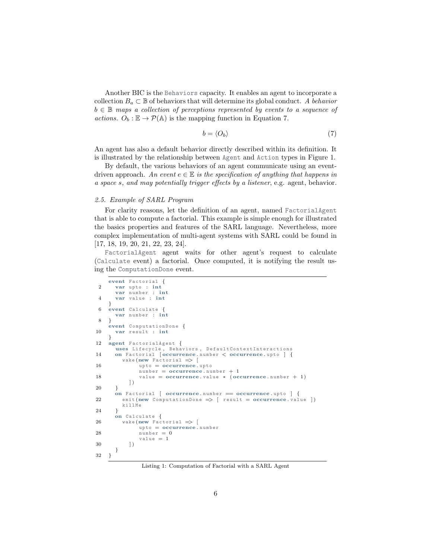Another BIC is the Behaviors capacity. It enables an agent to incorporate a collection  $B_a \subset \mathbb{B}$  of behaviors that will determine its global conduct. A behavior  $b \in \mathbb{B}$  maps a collection of perceptions represented by events to a sequence of actions.  $O_b : \mathbb{E} \to \mathcal{P}(\mathbb{A})$  is the mapping function in Equation 7.

$$
b = \langle O_b \rangle \tag{7}
$$

An agent has also a default behavior directly described within its definition. It is illustrated by the relationship between Agent and Action types in Figure 1.

By default, the various behaviors of an agent communicate using an eventdriven approach. An event  $e \in \mathbb{E}$  is the specification of anything that happens in a space s, and may potentially trigger effects by a listener, e.g. agent, behavior.

### 2.5. Example of SARL Program

For clarity reasons, let the definition of an agent, named FactorialAgent that is able to compute a factorial. This example is simple enough for illustrated the basics properties and features of the SARL language. Nevertheless, more complex implementation of multi-agent systems with SARL could be found in [17, 18, 19, 20, 21, 22, 23, 24].

FactorialAgent agent waits for other agent's request to calculate (Calculate event) a factorial. Once computed, it is notifying the result using the ComputationDone event.

```
event Factorial {
2 var upto : int
      var number : int
4 var value : int
    }
6 event Calculate {
      var number : int
8 }
    event ComputationDone {
10 var result : int
    }
12 agent Factorial Agent \{uses Lifecycle, Behaviors, DefaultContextInteractions
14 on Factorial [occurrence number < occurrence upto ] {
        \text{wake}(\text{new Factorial} \Rightarrow \lceil16 upto = occurrence upto
             number = occurrence. number + 118 value = occurrence value * (occurrence number + 1)
          \left| \right)20 }
      on Factorial \left[ occurrence . number == occurrence . upto \left[ {
22 emit (new Computation Done \Rightarrow [ result = occurrence value ])
        k i l l M e
24on Calculate {
26 wake (new Factorial \Rightarrow [
             upto = occurrence.\nnumber28 number = 0
             value = 130 ] )
      }
32 }
```
Listing 1: Computation of Factorial with a SARL Agent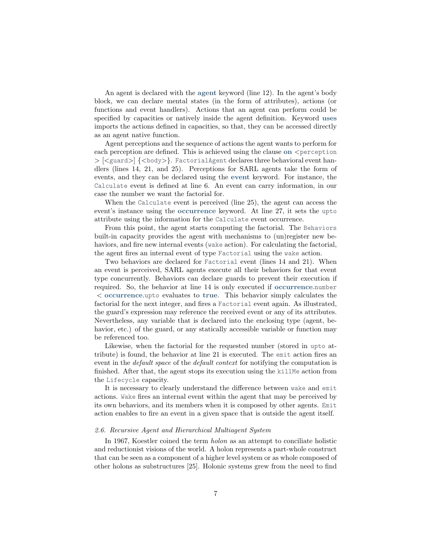An agent is declared with the agent keyword (line 12). In the agent's body block, we can declare mental states (in the form of attributes), actions (or functions and event handlers). Actions that an agent can perform could be specified by capacities or natively inside the agent definition. Keyword uses imports the actions defined in capacities, so that, they can be accessed directly as an agent native function.

Agent perceptions and the sequence of actions the agent wants to perform for each perception are defined. This is achieved using the clause on  $\leq$  perception  $>$  [<guard>] {<br/>body>}. Factorial Agent declares three behavioral event handlers (lines 14, 21, and 25). Perceptions for SARL agents take the form of events, and they can be declared using the event keyword. For instance, the Calculate event is defined at line 6. An event can carry information, in our case the number we want the factorial for.

When the Calculate event is perceived (line 25), the agent can access the event's instance using the occurrence keyword. At line 27, it sets the upto attribute using the information for the Calculate event occurrence.

From this point, the agent starts computing the factorial. The Behaviors built-in capacity provides the agent with mechanisms to (un)register new behaviors, and fire new internal events (wake action). For calculating the factorial, the agent fires an internal event of type Factorial using the wake action.

Two behaviors are declared for Factorial event (lines 14 and 21). When an event is perceived, SARL agents execute all their behaviors for that event type concurrently. Behaviors can declare guards to prevent their execution if required. So, the behavior at line 14 is only executed if occurrence.number < occurrence.upto evaluates to true. This behavior simply calculates the factorial for the next integer, and fires a Factorial event again. As illustrated, the guard's expression may reference the received event or any of its attributes. Nevertheless, any variable that is declared into the enclosing type (agent, behavior, etc.) of the guard, or any statically accessible variable or function may be referenced too.

Likewise, when the factorial for the requested number (stored in upto attribute) is found, the behavior at line 21 is executed. The emit action fires an event in the *default space* of the *default context* for notifying the computation is finished. After that, the agent stops its execution using the kill Me action from the Lifecycle capacity.

It is necessary to clearly understand the difference between wake and emit actions. Wake fires an internal event within the agent that may be perceived by its own behaviors, and its members when it is composed by other agents. Emit action enables to fire an event in a given space that is outside the agent itself.

## 2.6. Recursive Agent and Hierarchical Multiagent System

In 1967, Koestler coined the term holon as an attempt to conciliate holistic and reductionist visions of the world. A holon represents a part-whole construct that can be seen as a component of a higher level system or as whole composed of other holons as substructures [25]. Holonic systems grew from the need to find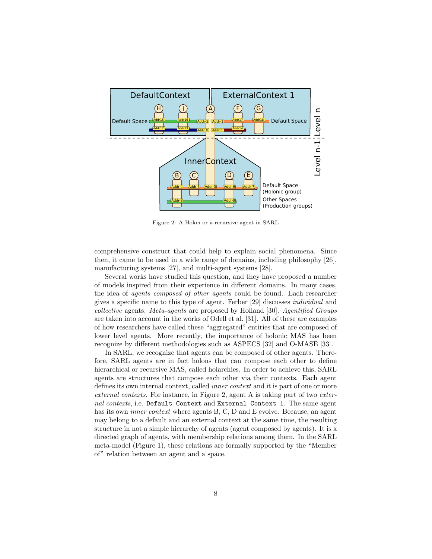

Figure 2: A Holon or a recursive agent in SARL

comprehensive construct that could help to explain social phenomena. Since then, it came to be used in a wide range of domains, including philosophy [26], manufacturing systems [27], and multi-agent systems [28].

Several works have studied this question, and they have proposed a number of models inspired from their experience in different domains. In many cases, the idea of agents composed of other agents could be found. Each researcher gives a specific name to this type of agent. Ferber [29] discusses individual and collective agents. Meta-agents are proposed by Holland [30]. Agentified Groups are taken into account in the works of Odell et al. [31]. All of these are examples of how researchers have called these "aggregated" entities that are composed of lower level agents. More recently, the importance of holonic MAS has been recognize by different methodologies such as ASPECS [32] and O-MASE [33].

In SARL, we recognize that agents can be composed of other agents. Therefore, SARL agents are in fact holons that can compose each other to define hierarchical or recursive MAS, called holarchies. In order to achieve this, SARL agents are structures that compose each other via their contexts. Each agent defines its own internal context, called inner context and it is part of one or more external contexts. For instance, in Figure 2, agent A is taking part of two external contexts, i.e. Default Context and External Context 1. The same agent has its own *inner context* where agents B, C, D and E evolve. Because, an agent may belong to a default and an external context at the same time, the resulting structure in not a simple hierarchy of agents (agent composed by agents). It is a directed graph of agents, with membership relations among them. In the SARL meta-model (Figure 1), these relations are formally supported by the "Member of" relation between an agent and a space.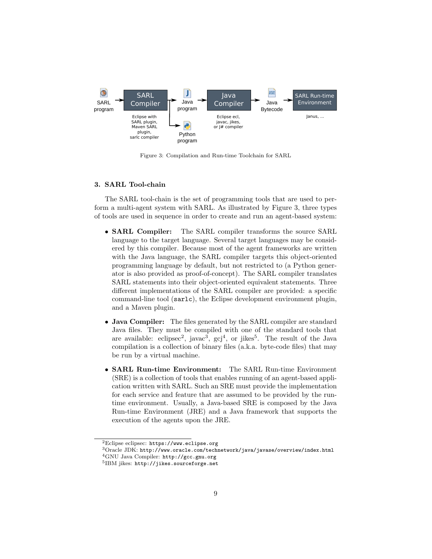

Figure 3: Compilation and Run-time Toolchain for SARL

## 3. SARL Tool-chain

The SARL tool-chain is the set of programming tools that are used to perform a multi-agent system with SARL. As illustrated by Figure 3, three types of tools are used in sequence in order to create and run an agent-based system:

- SARL Compiler: The SARL compiler transforms the source SARL language to the target language. Several target languages may be considered by this compiler. Because most of the agent frameworks are written with the Java language, the SARL compiler targets this object-oriented programming language by default, but not restricted to (a Python generator is also provided as proof-of-concept). The SARL compiler translates SARL statements into their object-oriented equivalent statements. Three different implementations of the SARL compiler are provided: a specific command-line tool (sarlc), the Eclipse development environment plugin, and a Maven plugin.
- Java Compiler: The files generated by the SARL compiler are standard Java files. They must be compiled with one of the standard tools that are available: eclipsec<sup>2</sup>, javac<sup>3</sup>, gcj<sup>4</sup>, or jikes<sup>5</sup>. The result of the Java compilation is a collection of binary files (a.k.a. byte-code files) that may be run by a virtual machine.
- SARL Run-time Environment: The SARL Run-time Environment (SRE) is a collection of tools that enables running of an agent-based application written with SARL. Such an SRE must provide the implementation for each service and feature that are assumed to be provided by the runtime environment. Usually, a Java-based SRE is composed by the Java Run-time Environment (JRE) and a Java framework that supports the execution of the agents upon the JRE.

<sup>2</sup>Eclipse eclipsec: https://www.eclipse.org

 $^3$ Oracle JDK: http://www.oracle.com/technetwork/java/javase/overview/index.html

<sup>4</sup>GNU Java Compiler: http://gcc.gnu.org

<sup>5</sup> IBM jikes: http://jikes.sourceforge.net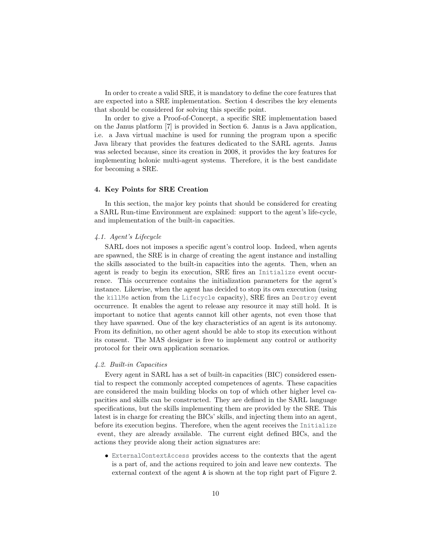In order to create a valid SRE, it is mandatory to define the core features that are expected into a SRE implementation. Section 4 describes the key elements that should be considered for solving this specific point.

In order to give a Proof-of-Concept, a specific SRE implementation based on the Janus platform [7] is provided in Section 6. Janus is a Java application, i.e. a Java virtual machine is used for running the program upon a specific Java library that provides the features dedicated to the SARL agents. Janus was selected because, since its creation in 2008, it provides the key features for implementing holonic multi-agent systems. Therefore, it is the best candidate for becoming a SRE.

### 4. Key Points for SRE Creation

In this section, the major key points that should be considered for creating a SARL Run-time Environment are explained: support to the agent's life-cycle, and implementation of the built-in capacities.

## 4.1. Agent's Lifecycle

SARL does not imposes a specific agent's control loop. Indeed, when agents are spawned, the SRE is in charge of creating the agent instance and installing the skills associated to the built-in capacities into the agents. Then, when an agent is ready to begin its execution, SRE fires an Initialize event occurrence. This occurrence contains the initialization parameters for the agent's instance. Likewise, when the agent has decided to stop its own execution (using the killMe action from the Lifecycle capacity), SRE fires an Destroy event occurrence. It enables the agent to release any resource it may still hold. It is important to notice that agents cannot kill other agents, not even those that they have spawned. One of the key characteristics of an agent is its autonomy. From its definition, no other agent should be able to stop its execution without its consent. The MAS designer is free to implement any control or authority protocol for their own application scenarios.

#### 4.2. Built-in Capacities

Every agent in SARL has a set of built-in capacities (BIC) considered essential to respect the commonly accepted competences of agents. These capacities are considered the main building blocks on top of which other higher level capacities and skills can be constructed. They are defined in the SARL language specifications, but the skills implementing them are provided by the SRE. This latest is in charge for creating the BICs' skills, and injecting them into an agent, before its execution begins. Therefore, when the agent receives the Initialize event, they are already available. The current eight defined BICs, and the actions they provide along their action signatures are:

• ExternalContextAccess provides access to the contexts that the agent is a part of, and the actions required to join and leave new contexts. The external context of the agent A is shown at the top right part of Figure 2.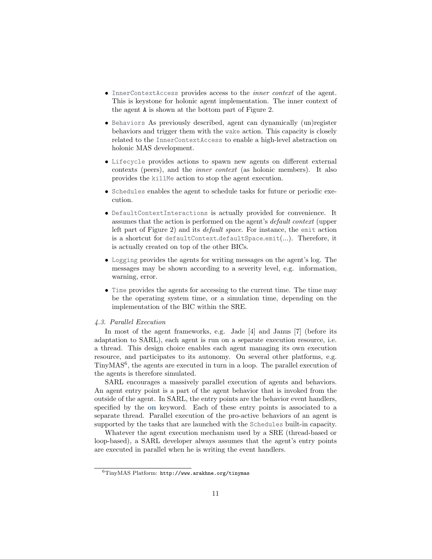- InnerContextAccess provides access to the inner context of the agent. This is keystone for holonic agent implementation. The inner context of the agent A is shown at the bottom part of Figure 2.
- Behaviors As previously described, agent can dynamically (un)register behaviors and trigger them with the wake action. This capacity is closely related to the InnerContextAccess to enable a high-level abstraction on holonic MAS development.
- Lifecycle provides actions to spawn new agents on different external contexts (peers), and the inner context (as holonic members). It also provides the killMe action to stop the agent execution.
- Schedules enables the agent to schedule tasks for future or periodic execution.
- DefaultContextInteractions is actually provided for convenience. It assumes that the action is performed on the agent's default context (upper left part of Figure 2) and its default space. For instance, the emit action is a shortcut for defaultContext.defaultSpace.emit(...). Therefore, it is actually created on top of the other BICs.
- Logging provides the agents for writing messages on the agent's log. The messages may be shown according to a severity level, e.g. information, warning, error.
- Time provides the agents for accessing to the current time. The time may be the operating system time, or a simulation time, depending on the implementation of the BIC within the SRE.

## 4.3. Parallel Execution

In most of the agent frameworks, e.g. Jade [4] and Janus [7] (before its adaptation to SARL), each agent is run on a separate execution resource, i.e. a thread. This design choice enables each agent managing its own execution resource, and participates to its autonomy. On several other platforms, e.g. TinyMAS<sup>6</sup> , the agents are executed in turn in a loop. The parallel execution of the agents is therefore simulated.

SARL encourages a massively parallel execution of agents and behaviors. An agent entry point is a part of the agent behavior that is invoked from the outside of the agent. In SARL, the entry points are the behavior event handlers, specified by the on keyword. Each of these entry points is associated to a separate thread. Parallel execution of the pro-active behaviors of an agent is supported by the tasks that are launched with the Schedules built-in capacity.

Whatever the agent execution mechanism used by a SRE (thread-based or loop-based), a SARL developer always assumes that the agent's entry points are executed in parallel when he is writing the event handlers.

 $^6$ TinyMAS Platform: http://www.arakhne.org/tinymas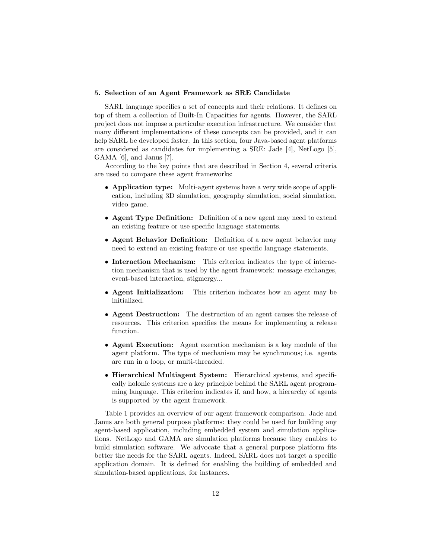### 5. Selection of an Agent Framework as SRE Candidate

SARL language specifies a set of concepts and their relations. It defines on top of them a collection of Built-In Capacities for agents. However, the SARL project does not impose a particular execution infrastructure. We consider that many different implementations of these concepts can be provided, and it can help SARL be developed faster. In this section, four Java-based agent platforms are considered as candidates for implementing a SRE: Jade [4], NetLogo [5], GAMA [6], and Janus [7].

According to the key points that are described in Section 4, several criteria are used to compare these agent frameworks:

- Application type: Multi-agent systems have a very wide scope of application, including 3D simulation, geography simulation, social simulation, video game.
- Agent Type Definition: Definition of a new agent may need to extend an existing feature or use specific language statements.
- Agent Behavior Definition: Definition of a new agent behavior may need to extend an existing feature or use specific language statements.
- Interaction Mechanism: This criterion indicates the type of interaction mechanism that is used by the agent framework: message exchanges, event-based interaction, stigmergy...
- **Agent Initialization:** This criterion indicates how an agent may be initialized.
- Agent Destruction: The destruction of an agent causes the release of resources. This criterion specifies the means for implementing a release function.
- Agent Execution: Agent execution mechanism is a key module of the agent platform. The type of mechanism may be synchronous; i.e. agents are run in a loop, or multi-threaded.
- Hierarchical Multiagent System: Hierarchical systems, and specifically holonic systems are a key principle behind the SARL agent programming language. This criterion indicates if, and how, a hierarchy of agents is supported by the agent framework.

Table 1 provides an overview of our agent framework comparison. Jade and Janus are both general purpose platforms: they could be used for building any agent-based application, including embedded system and simulation applications. NetLogo and GAMA are simulation platforms because they enables to build simulation software. We advocate that a general purpose platform fits better the needs for the SARL agents. Indeed, SARL does not target a specific application domain. It is defined for enabling the building of embedded and simulation-based applications, for instances.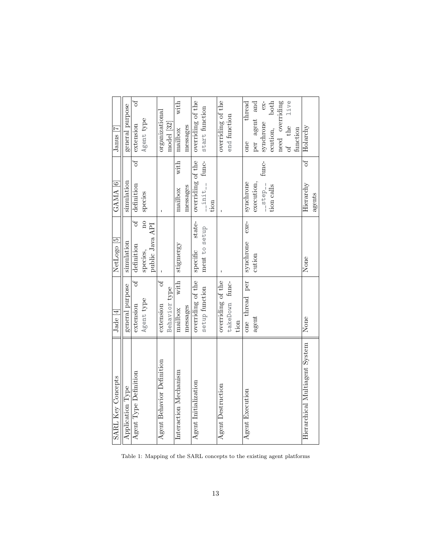| SARL Key Concepts              | Jade [4]            | NetLogo [5]                      | GAMA <sup>[6]</sup>                        | $J$ anus [7]       |
|--------------------------------|---------------------|----------------------------------|--------------------------------------------|--------------------|
| Application Type               | general purpose     | simulation                       | simulation                                 | general purpose    |
| Agent Type Definition          | ზ<br>ბ<br>extension | $\frac{1}{\sigma}$<br>definition | đ<br>definition                            | ď<br>extension     |
|                                | Agent type          | $\overline{\Omega}$<br>species,  | species                                    | Agent type         |
|                                |                     | public Java API                  |                                            |                    |
| Agent Behavior Definition      | ð<br>extension      |                                  |                                            | organizational     |
|                                | Behavior type       |                                  |                                            | model [32]         |
| Interaction Mechanism          | with<br>mailbox     | stigmergy                        | with<br>mailbox                            | with<br>mailbox    |
|                                | messages            |                                  | messages                                   | messages           |
| Agent Initialization           | overriding of the   | state-<br>specific               | overriding of the $\overline{\phantom{a}}$ | overriding of the  |
|                                | setup function      | ment to setup                    | func-<br>$-int$                            | start function     |
|                                |                     |                                  | tion                                       |                    |
| Agent Destruction              | overriding of the   |                                  |                                            | overriding of the  |
|                                | takeDown func-      |                                  |                                            | end function       |
|                                | tion                |                                  |                                            |                    |
| Agent Execution                | one thread per      | $exe-$<br>synchrone              | synchrone                                  | thread<br>one      |
|                                | agent               | cution                           | execution,                                 | per agent and      |
|                                |                     |                                  | func-<br>-step-                            | $ex-$<br>synchrone |
|                                |                     |                                  | tion calls                                 | ecution, both      |
|                                |                     |                                  |                                            | need overriding    |
|                                |                     |                                  |                                            | live<br>of the     |
|                                |                     |                                  |                                            | function           |
| Hierarchical Multiagent System | None                | None                             | 9f<br>Hierarchy                            | Holarchy           |
|                                |                     |                                  | agents                                     |                    |

Table 1: Mapping of the SARL concepts to the existing agent platforms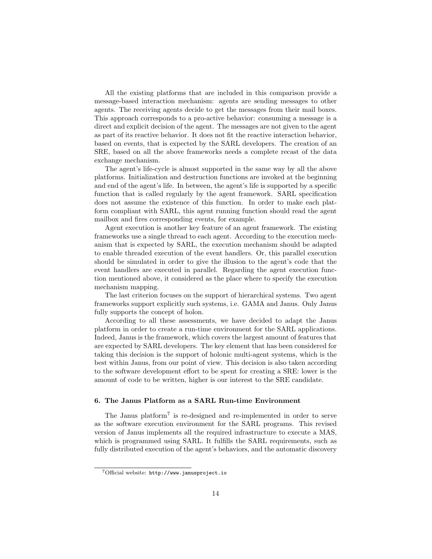All the existing platforms that are included in this comparison provide a message-based interaction mechanism: agents are sending messages to other agents. The receiving agents decide to get the messages from their mail boxes. This approach corresponds to a pro-active behavior: consuming a message is a direct and explicit decision of the agent. The messages are not given to the agent as part of its reactive behavior. It does not fit the reactive interaction behavior, based on events, that is expected by the SARL developers. The creation of an SRE, based on all the above frameworks needs a complete recast of the data exchange mechanism.

The agent's life-cycle is almost supported in the same way by all the above platforms. Initialization and destruction functions are invoked at the beginning and end of the agent's life. In between, the agent's life is supported by a specific function that is called regularly by the agent framework. SARL specification does not assume the existence of this function. In order to make each platform compliant with SARL, this agent running function should read the agent mailbox and fires corresponding events, for example.

Agent execution is another key feature of an agent framework. The existing frameworks use a single thread to each agent. According to the execution mechanism that is expected by SARL, the execution mechanism should be adapted to enable threaded execution of the event handlers. Or, this parallel execution should be simulated in order to give the illusion to the agent's code that the event handlers are executed in parallel. Regarding the agent execution function mentioned above, it considered as the place where to specify the execution mechanism mapping.

The last criterion focuses on the support of hierarchical systems. Two agent frameworks support explicitly such systems, i.e. GAMA and Janus. Only Janus fully supports the concept of holon.

According to all these assessments, we have decided to adapt the Janus platform in order to create a run-time environment for the SARL applications. Indeed, Janus is the framework, which covers the largest amount of features that are expected by SARL developers. The key element that has been considered for taking this decision is the support of holonic multi-agent systems, which is the best within Janus, from our point of view. This decision is also taken according to the software development effort to be spent for creating a SRE: lower is the amount of code to be written, higher is our interest to the SRE candidate.

## 6. The Janus Platform as a SARL Run-time Environment

The Janus platform<sup>7</sup> is re-designed and re-implemented in order to serve as the software execution environment for the SARL programs. This revised version of Janus implements all the required infrastructure to execute a MAS, which is programmed using SARL. It fulfills the SARL requirements, such as fully distributed execution of the agent's behaviors, and the automatic discovery

<sup>7</sup>Official website: http://www.janusproject.io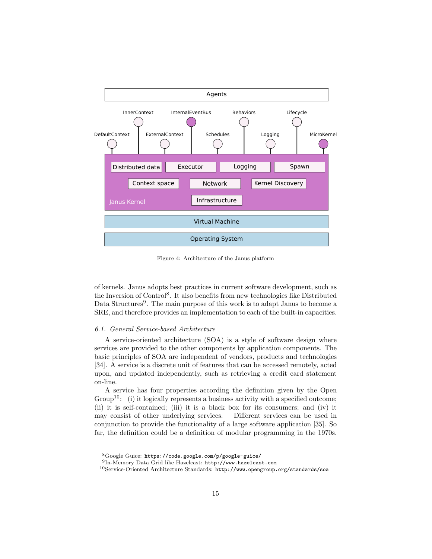

Figure 4: Architecture of the Janus platform

of kernels. Janus adopts best practices in current software development, such as the Inversion of Control<sup>8</sup>. It also benefits from new technologies like Distributed Data Structures<sup>9</sup>. The main purpose of this work is to adapt Janus to become a SRE, and therefore provides an implementation to each of the built-in capacities.

### 6.1. General Service-based Architecture

A service-oriented architecture (SOA) is a style of software design where services are provided to the other components by application components. The basic principles of SOA are independent of vendors, products and technologies [34]. A service is a discrete unit of features that can be accessed remotely, acted upon, and updated independently, such as retrieving a credit card statement on-line.

A service has four properties according the definition given by the Open Group<sup>10</sup>: (i) it logically represents a business activity with a specified outcome; (ii) it is self-contained; (iii) it is a black box for its consumers; and (iv) it may consist of other underlying services. Different services can be used in conjunction to provide the functionality of a large software application [35]. So far, the definition could be a definition of modular programming in the 1970s.

<sup>8</sup>Google Guice: https://code.google.com/p/google-guice/

<sup>9</sup> In-Memory Data Grid like Hazelcast: http://www.hazelcast.com

 $^{10}\rm{Service-Oriented}$  Architecture Standards:  ${\tt http://www.opengroup.org/standards/soa}$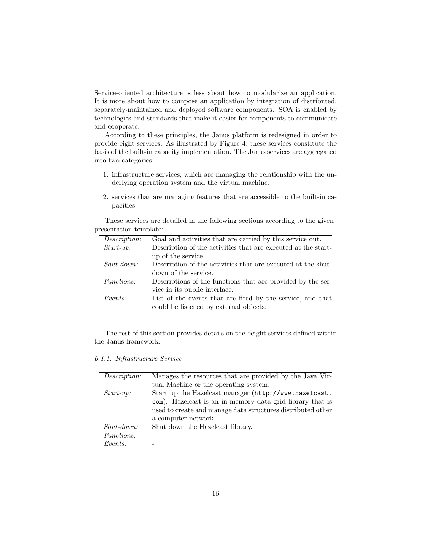Service-oriented architecture is less about how to modularize an application. It is more about how to compose an application by integration of distributed, separately-maintained and deployed software components. SOA is enabled by technologies and standards that make it easier for components to communicate and cooperate.

According to these principles, the Janus platform is redesigned in order to provide eight services. As illustrated by Figure 4, these services constitute the basis of the built-in capacity implementation. The Janus services are aggregated into two categories:

- 1. infrastructure services, which are managing the relationship with the underlying operation system and the virtual machine.
- 2. services that are managing features that are accessible to the built-in capacities.

These services are detailed in the following sections according to the given presentation template:

| Description:      | Goal and activities that are carried by this service out.     |
|-------------------|---------------------------------------------------------------|
| $Start-up$ :      | Description of the activities that are executed at the start- |
|                   | up of the service.                                            |
| $Shut-down:$      | Description of the activities that are executed at the shut-  |
|                   | down of the service.                                          |
| <i>Functions:</i> | Descriptions of the functions that are provided by the ser-   |
|                   | vice in its public interface.                                 |
| Events:           | List of the events that are fired by the service, and that    |
|                   | could be listened by external objects.                        |
|                   |                                                               |

The rest of this section provides details on the height services defined within the Janus framework.

## 6.1.1. Infrastructure Service

| <i>Description:</i> | Manages the resources that are provided by the Java Vir-    |
|---------------------|-------------------------------------------------------------|
|                     | tual Machine or the operating system.                       |
| $Start-up:$         | Start up the Hazelcast manager (http://www.hazelcast.       |
|                     | com). Hazelcast is an in-memory data grid library that is   |
|                     | used to create and manage data structures distributed other |
|                     | a computer network.                                         |
| $Shut-down:$        | Shut down the Hazelcast library.                            |
| <i>Functions:</i>   |                                                             |
| Events:             |                                                             |
|                     |                                                             |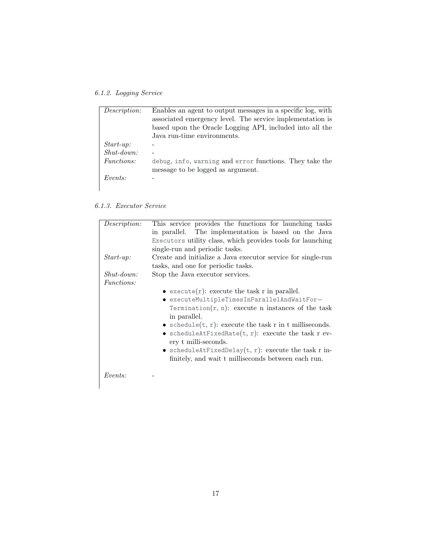## 6.1.2. Logging Service

| <i>Description:</i> | Enables an agent to output messages in a specific log, with |
|---------------------|-------------------------------------------------------------|
|                     | associated emergency level. The service implementation is   |
|                     | based upon the Oracle Logging API, included into all the    |
|                     | Java run-time environments.                                 |
| $Start-up$ :        |                                                             |
| $Shut-down:$        |                                                             |
| <i>Functions:</i>   | debug, info, warning and error functions. They take the     |
|                     | message to be logged as argument.                           |
| Events:             |                                                             |
|                     |                                                             |

## 6.1.3. Executor Service

| Description:      | This service provides the functions for launching tasks                                                                                                                                                                                                                                                                                                                                                                                         |
|-------------------|-------------------------------------------------------------------------------------------------------------------------------------------------------------------------------------------------------------------------------------------------------------------------------------------------------------------------------------------------------------------------------------------------------------------------------------------------|
|                   | in parallel. The implementation is based on the Java                                                                                                                                                                                                                                                                                                                                                                                            |
|                   | Executors utility class, which provides tools for launching                                                                                                                                                                                                                                                                                                                                                                                     |
|                   | single-run and periodic tasks.                                                                                                                                                                                                                                                                                                                                                                                                                  |
| $Start-up$ :      | Create and initialize a Java executor service for single-run                                                                                                                                                                                                                                                                                                                                                                                    |
|                   | tasks, and one for periodic tasks.                                                                                                                                                                                                                                                                                                                                                                                                              |
| $Shut-down:$      | Stop the Java executor services.                                                                                                                                                                                                                                                                                                                                                                                                                |
| <i>Functions:</i> |                                                                                                                                                                                                                                                                                                                                                                                                                                                 |
|                   | • execute $(r)$ : execute the task r in parallel.<br>• executeMultipleTimesInParallelAndWaitFor-<br>Termination $(r, n)$ : execute n instances of the task<br>in parallel.<br>• schedule $(t, r)$ : execute the task r in t milliseconds.<br>• scheduleAtFixedRate $(t, r)$ : execute the task r ev-<br>ery t milli-seconds.<br>• scheduleAtFixedDelay $(t, r)$ : execute the task r in-<br>finitely, and wait t milliseconds between each run. |
| Events:           |                                                                                                                                                                                                                                                                                                                                                                                                                                                 |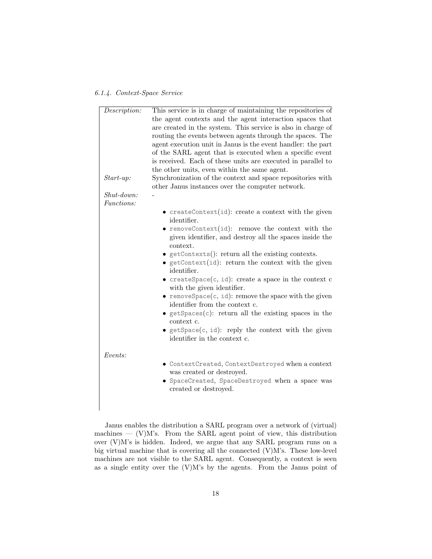6.1.4. Context-Space Service

| Description:      | This service is in charge of maintaining the repositories of<br>the agent contexts and the agent interaction spaces that<br>are created in the system. This service is also in charge of<br>routing the events between agents through the spaces. The<br>agent execution unit in Janus is the event handler: the part |
|-------------------|-----------------------------------------------------------------------------------------------------------------------------------------------------------------------------------------------------------------------------------------------------------------------------------------------------------------------|
|                   | of the SARL agent that is executed when a specific event                                                                                                                                                                                                                                                              |
|                   | is received. Each of these units are executed in parallel to<br>the other units, even within the same agent.                                                                                                                                                                                                          |
| $Start-up$ :      | Synchronization of the context and space repositories with<br>other Janus instances over the computer network.                                                                                                                                                                                                        |
| $Shut-down:$      |                                                                                                                                                                                                                                                                                                                       |
| <i>Functions:</i> |                                                                                                                                                                                                                                                                                                                       |
|                   | $\bullet$ createContext(id): create a context with the given<br>identifier.                                                                                                                                                                                                                                           |
|                   | $\bullet$ removeContext(id): remove the context with the<br>given identifier, and destroy all the spaces inside the<br>context.                                                                                                                                                                                       |
|                   | $\bullet$ getContexts(): return all the existing contexts.<br>$\bullet$ getContext(id): return the context with the given<br>identifier.                                                                                                                                                                              |
|                   | $\bullet$ createSpace(c, id): create a space in the context c<br>with the given identifier.                                                                                                                                                                                                                           |
|                   | $\bullet$ removeSpace(c, id): remove the space with the given<br>identifier from the context c.                                                                                                                                                                                                                       |
|                   | $\bullet$ getSpaces(c): return all the existing spaces in the<br>context c.                                                                                                                                                                                                                                           |
|                   | • $getSpace(c, id)$ : reply the context with the given<br>identifier in the context c.                                                                                                                                                                                                                                |
| Events:           |                                                                                                                                                                                                                                                                                                                       |
|                   | • ContextCreated, ContextDestroyed when a context<br>was created or destroyed.                                                                                                                                                                                                                                        |
|                   | • SpaceCreated, SpaceDestroyed when a space was<br>created or destroyed.                                                                                                                                                                                                                                              |

Janus enables the distribution a SARL program over a network of (virtual) machines  $-$  (V)M's. From the SARL agent point of view, this distribution over (V)M's is hidden. Indeed, we argue that any SARL program runs on a big virtual machine that is covering all the connected (V)M's. These low-level machines are not visible to the SARL agent. Consequently, a context is seen as a single entity over the (V)M's by the agents. From the Janus point of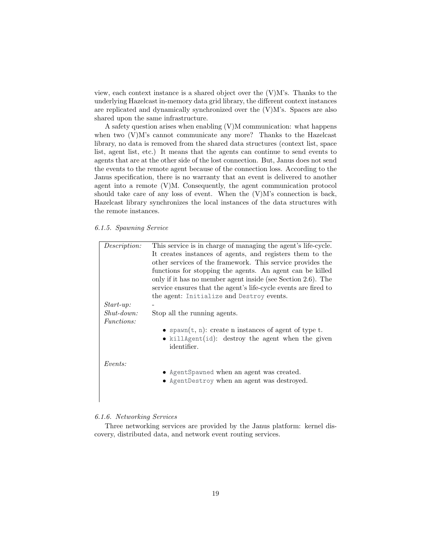view, each context instance is a shared object over the (V)M's. Thanks to the underlying Hazelcast in-memory data grid library, the different context instances are replicated and dynamically synchronized over the (V)M's. Spaces are also shared upon the same infrastructure.

A safety question arises when enabling  $(V)$ M communication: what happens when two (V)M's cannot communicate any more? Thanks to the Hazelcast library, no data is removed from the shared data structures (context list, space list, agent list, etc.) It means that the agents can continue to send events to agents that are at the other side of the lost connection. But, Janus does not send the events to the remote agent because of the connection loss. According to the Janus specification, there is no warranty that an event is delivered to another agent into a remote (V)M. Consequently, the agent communication protocol should take care of any loss of event. When the (V)M's connection is back, Hazelcast library synchronizes the local instances of the data structures with the remote instances.

## 6.1.5. Spawning Service

| Description:      | This service is in charge of managing the agent's life-cycle.                                                                         |  |  |  |
|-------------------|---------------------------------------------------------------------------------------------------------------------------------------|--|--|--|
|                   | It creates instances of agents, and registers them to the                                                                             |  |  |  |
|                   | other services of the framework. This service provides the                                                                            |  |  |  |
|                   | functions for stopping the agents. An agent can be killed                                                                             |  |  |  |
|                   | only if it has no member agent inside (see Section 2.6). The                                                                          |  |  |  |
|                   | service ensures that the agent's life-cycle events are fired to                                                                       |  |  |  |
|                   | the agent: Initialize and Destroy events.                                                                                             |  |  |  |
| $Start-up:$       |                                                                                                                                       |  |  |  |
| $Shut-down:$      | Stop all the running agents.                                                                                                          |  |  |  |
| <i>Functions:</i> |                                                                                                                                       |  |  |  |
|                   | • spawn $(t, n)$ : create n instances of agent of type t.<br>$\bullet$ killAgent(id): destroy the agent when the given<br>identifier. |  |  |  |
| Events:           |                                                                                                                                       |  |  |  |
|                   | • AgentSpawned when an agent was created.<br>• AgentDestroy when an agent was destroyed.                                              |  |  |  |
|                   |                                                                                                                                       |  |  |  |

## 6.1.6. Networking Services

Three networking services are provided by the Janus platform: kernel discovery, distributed data, and network event routing services.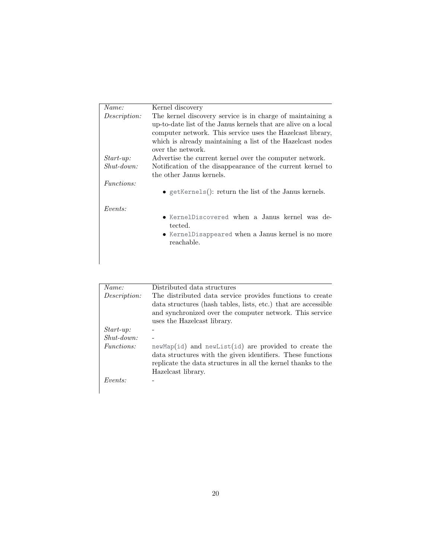| Kernel discovery                                               |  |
|----------------------------------------------------------------|--|
| The kernel discovery service is in charge of maintaining a     |  |
| up-to-date list of the Janus kernels that are alive on a local |  |
| computer network. This service uses the Hazelcast library,     |  |
| which is already maintaining a list of the Hazelcast nodes     |  |
| over the network.                                              |  |
| Advertise the current kernel over the computer network.        |  |
| Notification of the disappearance of the current kernel to     |  |
| the other Janus kernels.                                       |  |
|                                                                |  |
| $\bullet$ getKernels(): return the list of the Janus kernels.  |  |
|                                                                |  |
|                                                                |  |
| • KernelDiscovered when a Janus kernel was de-                 |  |
| tected.                                                        |  |
| • KernelDisappeared when a Janus kernel is no more             |  |
| reachable.                                                     |  |
|                                                                |  |
|                                                                |  |

| Name:               | Distributed data structures                                    |
|---------------------|----------------------------------------------------------------|
| <i>Description:</i> | The distributed data service provides functions to create      |
|                     | data structures (hash tables, lists, etc.) that are accessible |
|                     | and synchronized over the computer network. This service       |
|                     | uses the Hazelcast library.                                    |
| $Start-up$ :        |                                                                |
| $Shut-down:$        |                                                                |
| <i>Functions:</i>   | $newMap(id)$ and $newList(id)$ are provided to create the      |
|                     | data structures with the given identifiers. These functions    |
|                     | replicate the data structures in all the kernel thanks to the  |
|                     | Hazelcast library.                                             |
| Events:             |                                                                |
|                     |                                                                |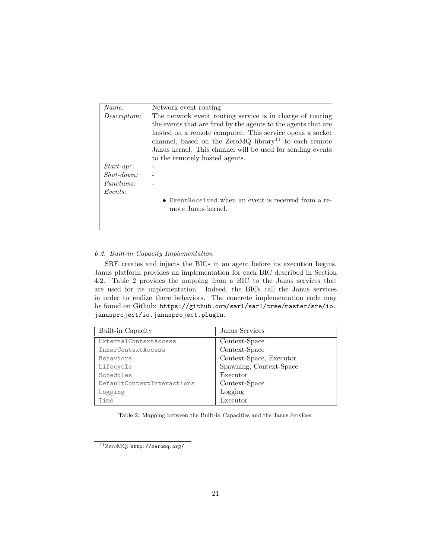| Network event routing                                                                                                         |  |
|-------------------------------------------------------------------------------------------------------------------------------|--|
| The network event routing service is in charge of routing                                                                     |  |
| the events that are fired by the agents to the agents that are                                                                |  |
| hosted on a remote computer. This service opens a socket<br>channel, based on the ZeroMQ library <sup>11</sup> to each remote |  |
|                                                                                                                               |  |
| to the remotely hosted agents.                                                                                                |  |
|                                                                                                                               |  |
|                                                                                                                               |  |
|                                                                                                                               |  |
|                                                                                                                               |  |
| $\bullet$ Event Received when an event is received from a re-                                                                 |  |
| mote Janus kernel.                                                                                                            |  |
|                                                                                                                               |  |
|                                                                                                                               |  |

## 6.2. Built-in Capacity Implementation

SRE creates and injects the BICs in an agent before its execution begins. Janus platform provides an implementation for each BIC described in Section 4.2. Table 2 provides the mapping from a BIC to the Janus services that are used for its implementation. Indeed, the BICs call the Janus services in order to realize there behaviors. The concrete implementation code may be found on Github: https://github.com/sarl/sarl/tree/master/sre/io. janusproject/io.janusproject.plugin.

| Built-in Capacity          | Janus Services          |
|----------------------------|-------------------------|
| ExternalContextAccess      | Context-Space           |
| InnerContextAccess         | Context-Space           |
| Behaviors                  | Context-Space, Executor |
| Lifecycle                  | Spawning, Context-Space |
| Schedules                  | Executor                |
| DefaultContextInteractions | Context-Space           |
| Logging                    | Logging                 |
| Time                       | Executor                |

Table 2: Mapping between the Built-in Capacities and the Janus Services.

<sup>11</sup>ZeroMQ: http://zeromq.org/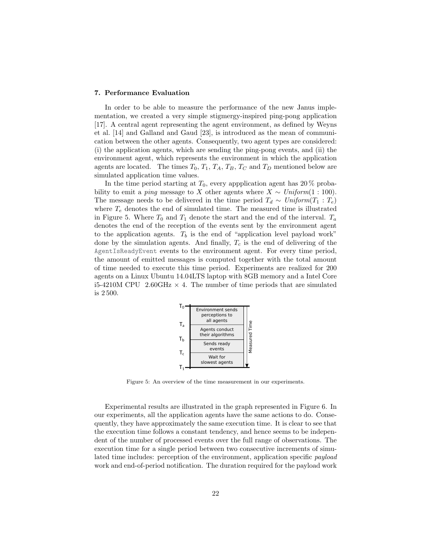#### 7. Performance Evaluation

In order to be able to measure the performance of the new Janus implementation, we created a very simple stigmergy-inspired ping-pong application [17]. A central agent representing the agent environment, as defined by Weyns et al. [14] and Galland and Gaud [23], is introduced as the mean of communication between the other agents. Consequently, two agent types are considered: (i) the application agents, which are sending the ping-pong events, and (ii) the environment agent, which represents the environment in which the application agents are located. The times  $T_0$ ,  $T_1$ ,  $T_A$ ,  $T_B$ ,  $T_C$  and  $T_D$  mentioned below are simulated application time values.

In the time period starting at  $T_0$ , every appplication agent has 20 % probability to emit a ping message to X other agents where  $X \sim Uniform(1:100)$ . The message needs to be delivered in the time period  $T_d \sim Uniform(T_1 : T_e)$ where  $T_e$  denotes the end of simulated time. The measured time is illustrated in Figure 5. Where  $T_0$  and  $T_1$  denote the start and the end of the interval.  $T_a$ denotes the end of the reception of the events sent by the environment agent to the application agents.  $T_b$  is the end of "application level payload work" done by the simulation agents. And finally,  $T_c$  is the end of delivering of the AgentIsReadyEvent events to the environment agent. For every time period, the amount of emitted messages is computed together with the total amount of time needed to execute this time period. Experiments are realized for 200 agents on a Linux Ubuntu 14.04LTS laptop with 8GB memory and a Intel Core  $i5-4210M$  CPU 2.60GHz  $\times$  4. The number of time periods that are simulated is 2 500.



Figure 5: An overview of the time measurement in our experiments.

Experimental results are illustrated in the graph represented in Figure 6. In our experiments, all the application agents have the same actions to do. Consequently, they have approximately the same execution time. It is clear to see that the execution time follows a constant tendency, and hence seems to be independent of the number of processed events over the full range of observations. The execution time for a single period between two consecutive increments of simulated time includes: perception of the environment, application specific payload work and end-of-period notification. The duration required for the payload work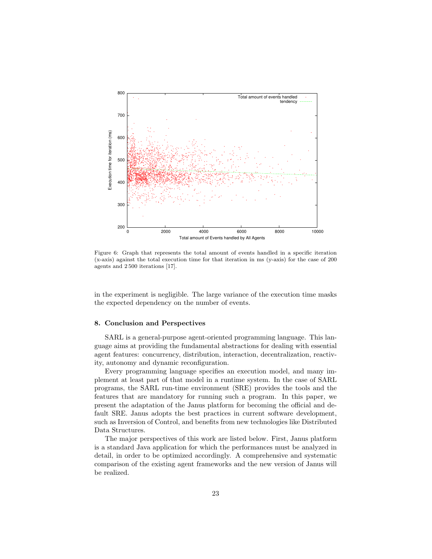

Figure 6: Graph that represents the total amount of events handled in a specific iteration (x-axis) against the total execution time for that iteration in ms (y-axis) for the case of 200 agents and 2 500 iterations [17].

in the experiment is negligible. The large variance of the execution time masks the expected dependency on the number of events.

## 8. Conclusion and Perspectives

SARL is a general-purpose agent-oriented programming language. This language aims at providing the fundamental abstractions for dealing with essential agent features: concurrency, distribution, interaction, decentralization, reactivity, autonomy and dynamic reconfiguration.

Every programming language specifies an execution model, and many implement at least part of that model in a runtime system. In the case of SARL programs, the SARL run-time environment (SRE) provides the tools and the features that are mandatory for running such a program. In this paper, we present the adaptation of the Janus platform for becoming the official and default SRE. Janus adopts the best practices in current software development, such as Inversion of Control, and benefits from new technologies like Distributed Data Structures.

The major perspectives of this work are listed below. First, Janus platform is a standard Java application for which the performances must be analyzed in detail, in order to be optimized accordingly. A comprehensive and systematic comparison of the existing agent frameworks and the new version of Janus will be realized.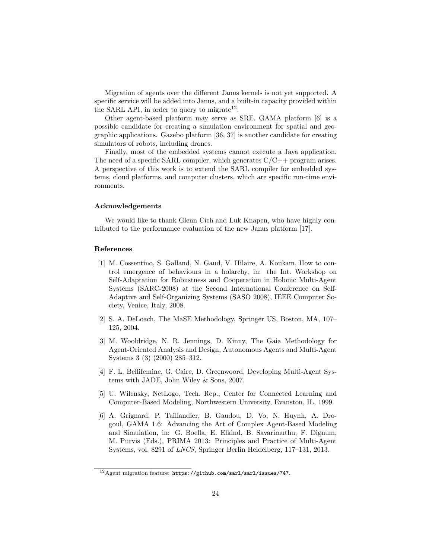Migration of agents over the different Janus kernels is not yet supported. A specific service will be added into Janus, and a built-in capacity provided within the SARL API, in order to query to migrate<sup>12</sup>.

Other agent-based platform may serve as SRE. GAMA platform [6] is a possible candidate for creating a simulation environment for spatial and geographic applications. Gazebo platform [36, 37] is another candidate for creating simulators of robots, including drones.

Finally, most of the embedded systems cannot execute a Java application. The need of a specific SARL compiler, which generates  $C/C++$  program arises. A perspective of this work is to extend the SARL compiler for embedded systems, cloud platforms, and computer clusters, which are specific run-time environments.

#### Acknowledgements

We would like to thank Glenn Cich and Luk Knapen, who have highly contributed to the performance evaluation of the new Janus platform [17].

## References

- [1] M. Cossentino, S. Galland, N. Gaud, V. Hilaire, A. Koukam, How to control emergence of behaviours in a holarchy, in: the Int. Workshop on Self-Adaptation for Robustness and Cooperation in Holonic Multi-Agent Systems (SARC-2008) at the Second International Conference on Self-Adaptive and Self-Organizing Systems (SASO 2008), IEEE Computer Society, Venice, Italy, 2008.
- [2] S. A. DeLoach, The MaSE Methodology, Springer US, Boston, MA, 107– 125, 2004.
- [3] M. Wooldridge, N. R. Jennings, D. Kinny, The Gaia Methodology for Agent-Oriented Analysis and Design, Autonomous Agents and Multi-Agent Systems 3 (3) (2000) 285–312.
- [4] F. L. Bellifemine, G. Caire, D. Greenwoord, Developing Multi-Agent Systems with JADE, John Wiley & Sons, 2007.
- [5] U. Wilensky, NetLogo, Tech. Rep., Center for Connected Learning and Computer-Based Modeling, Northwestern University, Evanston, IL, 1999.
- [6] A. Grignard, P. Taillandier, B. Gaudou, D. Vo, N. Huynh, A. Drogoul, GAMA 1.6: Advancing the Art of Complex Agent-Based Modeling and Simulation, in: G. Boella, E. Elkind, B. Savarimuthu, F. Dignum, M. Purvis (Eds.), PRIMA 2013: Principles and Practice of Multi-Agent Systems, vol. 8291 of LNCS, Springer Berlin Heidelberg, 117–131, 2013.

<sup>12</sup>Agent migration feature: https://github.com/sarl/sarl/issues/747.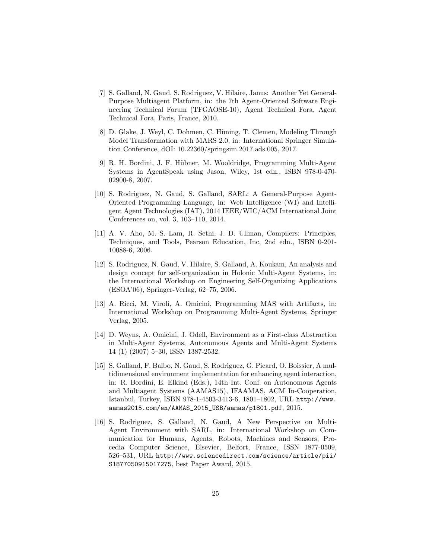- [7] S. Galland, N. Gaud, S. Rodriguez, V. Hilaire, Janus: Another Yet General-Purpose Multiagent Platform, in: the 7th Agent-Oriented Software Engineering Technical Forum (TFGAOSE-10), Agent Technical Fora, Agent Technical Fora, Paris, France, 2010.
- [8] D. Glake, J. Weyl, C. Dohmen, C. Hüning, T. Clemen, Modeling Through Model Transformation with MARS 2.0, in: International Springer Simulation Conference, dOI: 10.22360/springsim.2017.ads.005, 2017.
- [9] R. H. Bordini, J. F. H¨ubner, M. Wooldridge, Programming Multi-Agent Systems in AgentSpeak using Jason, Wiley, 1st edn., ISBN 978-0-470- 02900-8, 2007.
- [10] S. Rodriguez, N. Gaud, S. Galland, SARL: A General-Purpose Agent-Oriented Programming Language, in: Web Intelligence (WI) and Intelligent Agent Technologies (IAT), 2014 IEEE/WIC/ACM International Joint Conferences on, vol. 3, 103–110, 2014.
- [11] A. V. Aho, M. S. Lam, R. Sethi, J. D. Ullman, Compilers: Principles, Techniques, and Tools, Pearson Education, Inc, 2nd edn., ISBN 0-201- 10088-6, 2006.
- [12] S. Rodriguez, N. Gaud, V. Hilaire, S. Galland, A. Koukam, An analysis and design concept for self-organization in Holonic Multi-Agent Systems, in: the International Workshop on Engineering Self-Organizing Applications (ESOA'06), Springer-Verlag, 62–75, 2006.
- [13] A. Ricci, M. Viroli, A. Omicini, Programming MAS with Artifacts, in: International Workshop on Programming Multi-Agent Systems, Springer Verlag, 2005.
- [14] D. Weyns, A. Omicini, J. Odell, Environment as a First-class Abstraction in Multi-Agent Systems, Autonomous Agents and Multi-Agent Systems 14 (1) (2007) 5–30, ISSN 1387-2532.
- [15] S. Galland, F. Balbo, N. Gaud, S. Rodriguez, G. Picard, O. Boissier, A multidimensional environment implementation for enhancing agent interaction, in: R. Bordini, E. Elkind (Eds.), 14th Int. Conf. on Autonomous Agents and Multiagent Systems (AAMAS15), IFAAMAS, ACM In-Cooperation, Istanbul, Turkey, ISBN 978-1-4503-3413-6, 1801–1802, URL http://www. aamas2015.com/en/AAMAS\_2015\_USB/aamas/p1801.pdf, 2015.
- [16] S. Rodriguez, S. Galland, N. Gaud, A New Perspective on Multi-Agent Environment with SARL, in: International Workshop on Communication for Humans, Agents, Robots, Machines and Sensors, Procedia Computer Science, Elsevier, Belfort, France, ISSN 1877-0509, 526–531, URL http://www.sciencedirect.com/science/article/pii/ S1877050915017275, best Paper Award, 2015.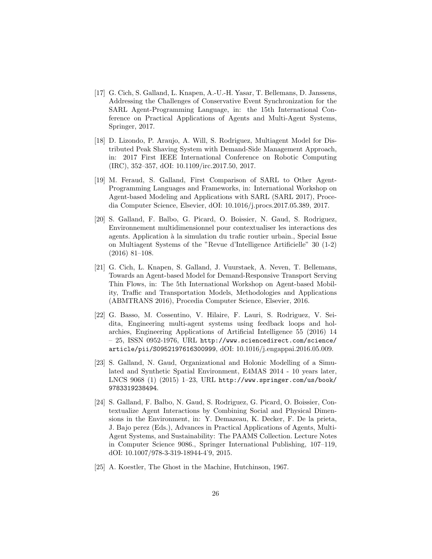- [17] G. Cich, S. Galland, L. Knapen, A.-U.-H. Yasar, T. Bellemans, D. Janssens, Addressing the Challenges of Conservative Event Synchronization for the SARL Agent-Programming Language, in: the 15th International Conference on Practical Applications of Agents and Multi-Agent Systems, Springer, 2017.
- [18] D. Lizondo, P. Araujo, A. Will, S. Rodriguez, Multiagent Model for Distributed Peak Shaving System with Demand-Side Management Approach, in: 2017 First IEEE International Conference on Robotic Computing (IRC), 352–357, dOI: 10.1109/irc.2017.50, 2017.
- [19] M. Feraud, S. Galland, First Comparison of SARL to Other Agent-Programming Languages and Frameworks, in: International Workshop on Agent-based Modeling and Applications with SARL (SARL 2017), Procedia Computer Science, Elsevier, dOI: 10.1016/j.procs.2017.05.389, 2017.
- [20] S. Galland, F. Balbo, G. Picard, O. Boissier, N. Gaud, S. Rodriguez, Environnement multidimensionnel pour contextualiser les interactions des agents. Application à la simulation du trafic routier urbain., Special Issue on Multiagent Systems of the "Revue d'Intelligence Artificielle" 30 (1-2) (2016) 81–108.
- [21] G. Cich, L. Knapen, S. Galland, J. Vuurstaek, A. Neven, T. Bellemans, Towards an Agent-based Model for Demand-Responsive Transport Serving Thin Flows, in: The 5th International Workshop on Agent-based Mobility, Traffic and Transportation Models, Methodologies and Applications (ABMTRANS 2016), Procedia Computer Science, Elsevier, 2016.
- [22] G. Basso, M. Cossentino, V. Hilaire, F. Lauri, S. Rodriguez, V. Seidita, Engineering multi-agent systems using feedback loops and holarchies, Engineering Applications of Artificial Intelligence 55 (2016) 14 – 25, ISSN 0952-1976, URL http://www.sciencedirect.com/science/ article/pii/S0952197616300999, dOI: 10.1016/j.engappai.2016.05.009.
- [23] S. Galland, N. Gaud, Organizational and Holonic Modelling of a Simulated and Synthetic Spatial Environment, E4MAS 2014 - 10 years later, LNCS 9068 (1) (2015) 1–23, URL http://www.springer.com/us/book/ 9783319238494.
- [24] S. Galland, F. Balbo, N. Gaud, S. Rodriguez, G. Picard, O. Boissier, Contextualize Agent Interactions by Combining Social and Physical Dimensions in the Environment, in: Y. Demazeau, K. Decker, F. De la prieta, J. Bajo perez (Eds.), Advances in Practical Applications of Agents, Multi-Agent Systems, and Sustainability: The PAAMS Collection. Lecture Notes in Computer Science 9086., Springer International Publishing, 107–119, dOI: 10.1007/978-3-319-18944-4˙9, 2015.
- [25] A. Koestler, The Ghost in the Machine, Hutchinson, 1967.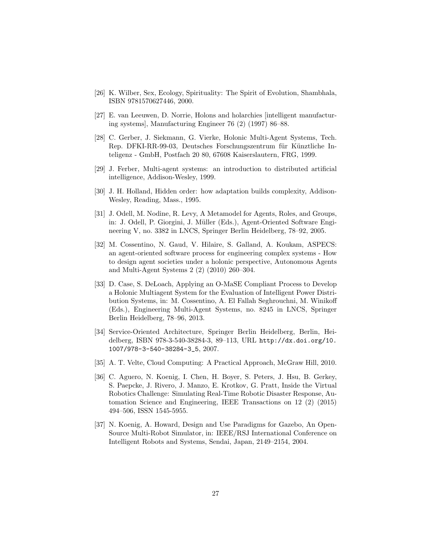- [26] K. Wilber, Sex, Ecology, Spirituality: The Spirit of Evolution, Shambhala, ISBN 9781570627446, 2000.
- [27] E. van Leeuwen, D. Norrie, Holons and holarchies [intelligent manufacturing systems], Manufacturing Engineer 76 (2) (1997) 86–88.
- [28] C. Gerber, J. Siekmann, G. Vierke, Holonic Multi-Agent Systems, Tech. Rep. DFKI-RR-99-03, Deutsches Forschungszentrum für Künztliche Inteligenz - GmbH, Postfach 20 80, 67608 Kaiserslautern, FRG, 1999.
- [29] J. Ferber, Multi-agent systems: an introduction to distributed artificial intelligence, Addison-Wesley, 1999.
- [30] J. H. Holland, Hidden order: how adaptation builds complexity, Addison-Wesley, Reading, Mass., 1995.
- [31] J. Odell, M. Nodine, R. Levy, A Metamodel for Agents, Roles, and Groups, in: J. Odell, P. Giorgini, J. Müller (Eds.), Agent-Oriented Software Engineering V, no. 3382 in LNCS, Springer Berlin Heidelberg, 78–92, 2005.
- [32] M. Cossentino, N. Gaud, V. Hilaire, S. Galland, A. Koukam, ASPECS: an agent-oriented software process for engineering complex systems - How to design agent societies under a holonic perspective, Autonomous Agents and Multi-Agent Systems 2 (2) (2010) 260–304.
- [33] D. Case, S. DeLoach, Applying an O-MaSE Compliant Process to Develop a Holonic Multiagent System for the Evaluation of Intelligent Power Distribution Systems, in: M. Cossentino, A. El Fallah Seghrouchni, M. Winikoff (Eds.), Engineering Multi-Agent Systems, no. 8245 in LNCS, Springer Berlin Heidelberg, 78–96, 2013.
- [34] Service-Oriented Architecture, Springer Berlin Heidelberg, Berlin, Heidelberg, ISBN 978-3-540-38284-3, 89–113, URL http://dx.doi.org/10. 1007/978-3-540-38284-3\_5, 2007.
- [35] A. T. Velte, Cloud Computing: A Practical Approach, McGraw Hill, 2010.
- [36] C. Aguero, N. Koenig, I. Chen, H. Boyer, S. Peters, J. Hsu, B. Gerkey, S. Paepcke, J. Rivero, J. Manzo, E. Krotkov, G. Pratt, Inside the Virtual Robotics Challenge: Simulating Real-Time Robotic Disaster Response, Automation Science and Engineering, IEEE Transactions on 12 (2) (2015) 494–506, ISSN 1545-5955.
- [37] N. Koenig, A. Howard, Design and Use Paradigms for Gazebo, An Open-Source Multi-Robot Simulator, in: IEEE/RSJ International Conference on Intelligent Robots and Systems, Sendai, Japan, 2149–2154, 2004.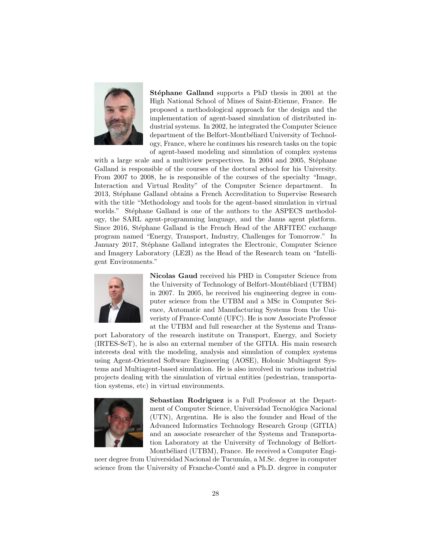

**Stéphane Galland** supports a PhD thesis in 2001 at the High National School of Mines of Saint-Etienne, France. He proposed a methodological approach for the design and the implementation of agent-based simulation of distributed industrial systems. In 2002, he integrated the Computer Science department of the Belfort-Montbéliard University of Technology, France, where he continues his research tasks on the topic of agent-based modeling and simulation of complex systems

with a large scale and a multiview perspectives. In  $2004$  and  $2005$ , Stéphane Galland is responsible of the courses of the doctoral school for his University. From 2007 to 2008, he is responsible of the courses of the specialty "Image, Interaction and Virtual Reality" of the Computer Science department. In 2013, Stéphane Galland obtains a French Accreditation to Supervise Research with the title "Methodology and tools for the agent-based simulation in virtual worlds." Stéphane Galland is one of the authors to the ASPECS methodology, the SARL agent-programming language, and the Janus agent platform. Since 2016, Stéphane Galland is the French Head of the ARFITEC exchange program named "Energy, Transport, Industry, Challenges for Tomorrow." In January 2017, Stéphane Galland integrates the Electronic, Computer Science and Imagery Laboratory (LE2I) as the Head of the Research team on "Intelligent Environments."



Nicolas Gaud received his PHD in Computer Science from the University of Technology of Belfort-Montébliard (UTBM) in 2007. In 2005, he received his engineering degree in computer science from the UTBM and a MSc in Computer Science, Automatic and Manufacturing Systems from the Univeristy of France-Comté (UFC). He is now Associate Professor at the UTBM and full researcher at the Systems and Trans-

port Laboratory of the research institute on Transport, Energy, and Society (IRTES-SeT), he is also an external member of the GITIA. His main research interests deal with the modeling, analysis and simulation of complex systems using Agent-Oriented Software Engineering (AOSE), Holonic Multiagent Systems and Multiagent-based simulation. He is also involved in various industrial projects dealing with the simulation of virtual entities (pedestrian, transportation systems, etc) in virtual environments.



Sebastian Rodriguez is a Full Professor at the Department of Computer Science, Universidad Tecnológica Nacional (UTN), Argentina. He is also the founder and Head of the Advanced Informatics Technology Research Group (GITIA) and an associate researcher of the Systems and Transportation Laboratory at the University of Technology of Belfort-Montbéliard (UTBM), France. He received a Computer Engi-

neer degree from Universidad Nacional de Tucumán, a M.Sc. degree in computer science from the University of Franche-Comté and a Ph.D. degree in computer